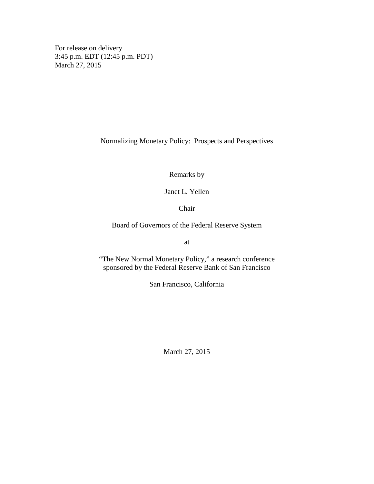For release on delivery 3:45 p.m. EDT (12:45 p.m. PDT) March 27, 2015

Normalizing Monetary Policy: Prospects and Perspectives

Remarks by

Janet L. Yellen

Chair

Board of Governors of the Federal Reserve System

at

"The New Normal Monetary Policy," a research conference sponsored by the Federal Reserve Bank of San Francisco

San Francisco, California

March 27, 2015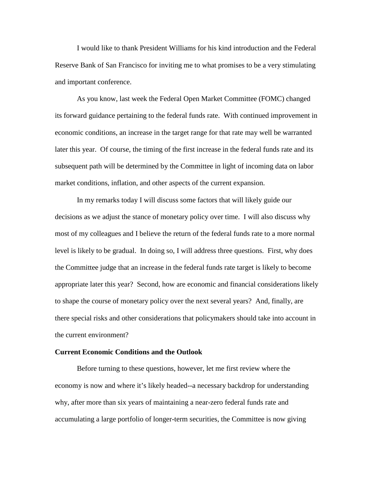I would like to thank President Williams for his kind introduction and the Federal Reserve Bank of San Francisco for inviting me to what promises to be a very stimulating and important conference.

As you know, last week the Federal Open Market Committee (FOMC) changed its forward guidance pertaining to the federal funds rate. With continued improvement in economic conditions, an increase in the target range for that rate may well be warranted later this year. Of course, the timing of the first increase in the federal funds rate and its subsequent path will be determined by the Committee in light of incoming data on labor market conditions, inflation, and other aspects of the current expansion.

In my remarks today I will discuss some factors that will likely guide our decisions as we adjust the stance of monetary policy over time. I will also discuss why most of my colleagues and I believe the return of the federal funds rate to a more normal level is likely to be gradual. In doing so, I will address three questions. First, why does the Committee judge that an increase in the federal funds rate target is likely to become appropriate later this year? Second, how are economic and financial considerations likely to shape the course of monetary policy over the next several years? And, finally, are there special risks and other considerations that policymakers should take into account in the current environment?

## **Current Economic Conditions and the Outlook**

Before turning to these questions, however, let me first review where the economy is now and where it's likely headed--a necessary backdrop for understanding why, after more than six years of maintaining a near-zero federal funds rate and accumulating a large portfolio of longer-term securities, the Committee is now giving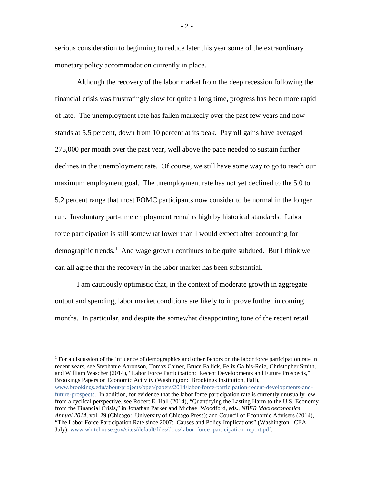serious consideration to beginning to reduce later this year some of the extraordinary monetary policy accommodation currently in place.

Although the recovery of the labor market from the deep recession following the financial crisis was frustratingly slow for quite a long time, progress has been more rapid of late. The unemployment rate has fallen markedly over the past few years and now stands at 5.5 percent, down from 10 percent at its peak. Payroll gains have averaged 275,000 per month over the past year, well above the pace needed to sustain further declines in the unemployment rate. Of course, we still have some way to go to reach our maximum employment goal. The unemployment rate has not yet declined to the 5.0 to 5.2 percent range that most FOMC participants now consider to be normal in the longer run. Involuntary part-time employment remains high by historical standards. Labor force participation is still somewhat lower than I would expect after accounting for demographic trends.<sup>[1](#page-2-0)</sup> And wage growth continues to be quite subdued. But I think we can all agree that the recovery in the labor market has been substantial.

I am cautiously optimistic that, in the context of moderate growth in aggregate output and spending, labor market conditions are likely to improve further in coming months. In particular, and despite the somewhat disappointing tone of the recent retail

 $\overline{a}$ 

<span id="page-2-0"></span><sup>1</sup> For a discussion of the influence of demographics and other factors on the labor force participation rate in recent years, see Stephanie Aaronson, Tomaz Cajner, Bruce Fallick, Felix Galbis-Reig, Christopher Smith, and William Wascher (2014), "Labor Force Participation: Recent Developments and Future Prospects," Brookings Papers on Economic Activity (Washington: Brookings Institution, Fall), [www.brookings.edu/about/projects/bpea/papers/2014/labor-force-participation-recent-developments-and](http://www.brookings.edu/about/projects/bpea/papers/2014/labor-force-participation-recent-developments-and-future-prospects)[future-prospects.](http://www.brookings.edu/about/projects/bpea/papers/2014/labor-force-participation-recent-developments-and-future-prospects) In addition, for evidence that the labor force participation rate is currently unusually low from a cyclical perspective, see Robert E. Hall (2014), "Quantifying the Lasting Harm to the U.S. Economy from the Financial Crisis," in Jonathan Parker and Michael Woodford, eds., *NBER Macroeconomics Annual 2014,* vol. 29 (Chicago: University of Chicago Press); and Council of Economic Advisers (2014), "The Labor Force Participation Rate since 2007: Causes and Policy Implications" (Washington: CEA, July), [www.whitehouse.gov/sites/default/files/docs/labor\\_force\\_participation\\_report.pdf.](http://www.whitehouse.gov/sites/default/files/docs/labor_force_participation_report.pdf)

 $-2-$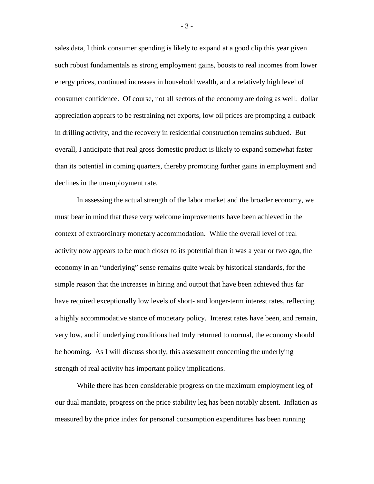sales data, I think consumer spending is likely to expand at a good clip this year given such robust fundamentals as strong employment gains, boosts to real incomes from lower energy prices, continued increases in household wealth, and a relatively high level of consumer confidence. Of course, not all sectors of the economy are doing as well: dollar appreciation appears to be restraining net exports, low oil prices are prompting a cutback in drilling activity, and the recovery in residential construction remains subdued. But overall, I anticipate that real gross domestic product is likely to expand somewhat faster than its potential in coming quarters, thereby promoting further gains in employment and declines in the unemployment rate.

In assessing the actual strength of the labor market and the broader economy, we must bear in mind that these very welcome improvements have been achieved in the context of extraordinary monetary accommodation. While the overall level of real activity now appears to be much closer to its potential than it was a year or two ago, the economy in an "underlying" sense remains quite weak by historical standards, for the simple reason that the increases in hiring and output that have been achieved thus far have required exceptionally low levels of short- and longer-term interest rates, reflecting a highly accommodative stance of monetary policy. Interest rates have been, and remain, very low, and if underlying conditions had truly returned to normal, the economy should be booming. As I will discuss shortly, this assessment concerning the underlying strength of real activity has important policy implications.

While there has been considerable progress on the maximum employment leg of our dual mandate, progress on the price stability leg has been notably absent. Inflation as measured by the price index for personal consumption expenditures has been running

- 3 -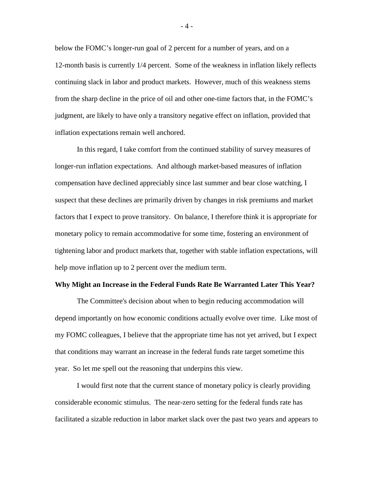below the FOMC's longer-run goal of 2 percent for a number of years, and on a 12-month basis is currently 1/4 percent. Some of the weakness in inflation likely reflects continuing slack in labor and product markets. However, much of this weakness stems from the sharp decline in the price of oil and other one-time factors that, in the FOMC's judgment, are likely to have only a transitory negative effect on inflation, provided that inflation expectations remain well anchored.

In this regard, I take comfort from the continued stability of survey measures of longer-run inflation expectations. And although market-based measures of inflation compensation have declined appreciably since last summer and bear close watching, I suspect that these declines are primarily driven by changes in risk premiums and market factors that I expect to prove transitory. On balance, I therefore think it is appropriate for monetary policy to remain accommodative for some time, fostering an environment of tightening labor and product markets that, together with stable inflation expectations, will help move inflation up to 2 percent over the medium term.

## **Why Might an Increase in the Federal Funds Rate Be Warranted Later This Year?**

The Committee's decision about when to begin reducing accommodation will depend importantly on how economic conditions actually evolve over time. Like most of my FOMC colleagues, I believe that the appropriate time has not yet arrived, but I expect that conditions may warrant an increase in the federal funds rate target sometime this year. So let me spell out the reasoning that underpins this view.

I would first note that the current stance of monetary policy is clearly providing considerable economic stimulus. The near-zero setting for the federal funds rate has facilitated a sizable reduction in labor market slack over the past two years and appears to

- 4 -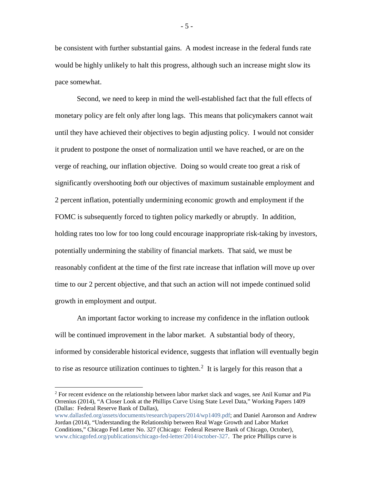be consistent with further substantial gains. A modest increase in the federal funds rate would be highly unlikely to halt this progress, although such an increase might slow its pace somewhat.

Second, we need to keep in mind the well-established fact that the full effects of monetary policy are felt only after long lags. This means that policymakers cannot wait until they have achieved their objectives to begin adjusting policy. I would not consider it prudent to postpone the onset of normalization until we have reached, or are on the verge of reaching, our inflation objective. Doing so would create too great a risk of significantly overshooting *both* our objectives of maximum sustainable employment and 2 percent inflation, potentially undermining economic growth and employment if the FOMC is subsequently forced to tighten policy markedly or abruptly. In addition, holding rates too low for too long could encourage inappropriate risk-taking by investors, potentially undermining the stability of financial markets. That said, we must be reasonably confident at the time of the first rate increase that inflation will move up over time to our 2 percent objective, and that such an action will not impede continued solid growth in employment and output.

An important factor working to increase my confidence in the inflation outlook will be continued improvement in the labor market. A substantial body of theory, informed by considerable historical evidence, suggests that inflation will eventually begin to rise as resource utilization continues to tighten.<sup>[2](#page-5-0)</sup> It is largely for this reason that a

 $\overline{a}$ 

[www.dallasfed.org/assets/documents/research/papers/2014/wp1409.pdf;](http://www.dallasfed.org/assets/documents/research/papers/2014/wp1409.pdf) and Daniel Aaronson and Andrew Jordan (2014), "Understanding the Relationship between Real Wage Growth and Labor Market Conditions," Chicago Fed Letter No. 327 (Chicago: Federal Reserve Bank of Chicago, October), [www.chicagofed.org/publications/chicago-fed-letter/2014/october-327.](http://www.chicagofed.org/publications/chicago-fed-letter/2014/october-327) The price Phillips curve is

- 5 -

<span id="page-5-0"></span><sup>&</sup>lt;sup>2</sup> For recent evidence on the relationship between labor market slack and wages, see Anil Kumar and Pia Orrenius (2014), "A Closer Look at the Phillips Curve Using State Level Data," Working Papers 1409 (Dallas: Federal Reserve Bank of Dallas),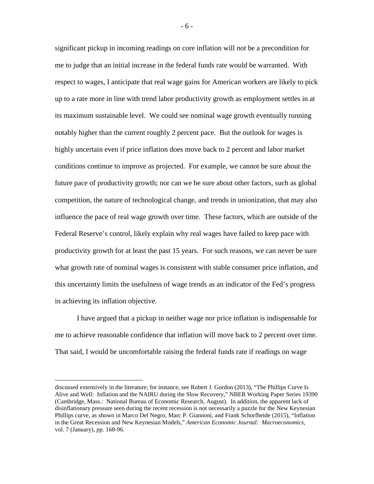significant pickup in incoming readings on core inflation will *not* be a precondition for me to judge that an initial increase in the federal funds rate would be warranted. With respect to wages, I anticipate that real wage gains for American workers are likely to pick up to a rate more in line with trend labor productivity growth as employment settles in at its maximum sustainable level. We could see nominal wage growth eventually running notably higher than the current roughly 2 percent pace. But the outlook for wages is highly uncertain even if price inflation does move back to 2 percent and labor market conditions continue to improve as projected. For example, we cannot be sure about the future pace of productivity growth; nor can we be sure about other factors, such as global competition, the nature of technological change, and trends in unionization, that may also influence the pace of real wage growth over time. These factors, which are outside of the Federal Reserve's control, likely explain why real wages have failed to keep pace with productivity growth for at least the past 15 years. For such reasons, we can never be sure what growth rate of nominal wages is consistent with stable consumer price inflation, and this uncertainty limits the usefulness of wage trends as an indicator of the Fed's progress in achieving its inflation objective.

I have argued that a pickup in neither wage nor price inflation is indispensable for me to achieve reasonable confidence that inflation will move back to 2 percent over time. That said, I would be uncomfortable raising the federal funds rate if readings on wage

discussed extensively in the literature; for instance, see Robert J. Gordon (2013), "The Phillips Curve Is Alive and Well: Inflation and the NAIRU during the Slow Recovery," NBER Working Paper Series 19390 (Cambridge, Mass.: National Bureau of Economic Research, August). In addition, the apparent lack of disinflationary pressure seen during the recent recession is not necessarily a puzzle for the New Keynesian Phillips curve, as shown in Marco Del Negro, Marc P. Giannoni, and Frank Schorfheide (2015), "Inflation in the Great Recession and New Keynesian Models," *American Economic Journal: Macroeconomics*, vol. 7 (January), pp. 168-96.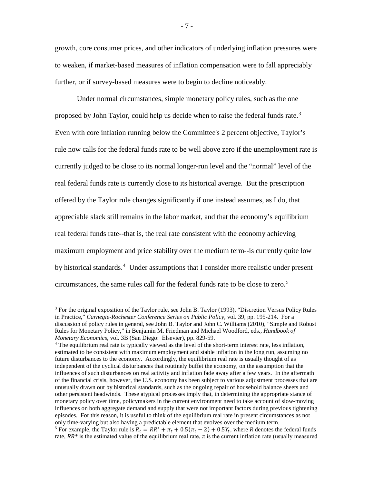growth, core consumer prices, and other indicators of underlying inflation pressures were to weaken, if market-based measures of inflation compensation were to fall appreciably further, or if survey-based measures were to begin to decline noticeably.

Under normal circumstances, simple monetary policy rules, such as the one proposed by John Taylor, could help us decide when to raise the federal funds rate.<sup>[3](#page-7-0)</sup> Even with core inflation running below the Committee's 2 percent objective, Taylor's rule now calls for the federal funds rate to be well above zero if the unemployment rate is currently judged to be close to its normal longer-run level and the "normal" level of the real federal funds rate is currently close to its historical average. But the prescription offered by the Taylor rule changes significantly if one instead assumes, as I do, that appreciable slack still remains in the labor market, and that the economy's equilibrium real federal funds rate--that is, the real rate consistent with the economy achieving maximum employment and price stability over the medium term--is currently quite low by historical standards.<sup>[4](#page-7-1)</sup> Under assumptions that I consider more realistic under present circumstances, the same rules call for the federal funds rate to be close to zero.[5](#page-7-2)

<span id="page-7-0"></span> $3$  For the original exposition of the Taylor rule, see John B. Taylor (1993), "Discretion Versus Policy Rules in Practice," *Carnegie-Rochester Conference Series on Public Policy,* vol. 39, pp. 195-214. For a discussion of policy rules in general, see John B. Taylor and John C. Williams (2010), "Simple and Robust Rules for Monetary Policy," in Benjamin M. Friedman and Michael Woodford, eds., *Handbook of* 

<span id="page-7-2"></span><span id="page-7-1"></span>*Monetary Economics*, vol. 3B (San Diego: Elsevier), pp. 829-59.<br><sup>4</sup> The equilibrium real rate is typically viewed as the level of the short-term interest rate, less inflation, estimated to be consistent with maximum employment and stable inflation in the long run, assuming no future disturbances to the economy. Accordingly, the equilibrium real rate is usually thought of as independent of the cyclical disturbances that routinely buffet the economy, on the assumption that the influences of such disturbances on real activity and inflation fade away after a few years. In the aftermath of the financial crisis, however, the U.S. economy has been subject to various adjustment processes that are unusually drawn out by historical standards, such as the ongoing repair of household balance sheets and other persistent headwinds. These atypical processes imply that, in determining the appropriate stance of monetary policy over time, policymakers in the current environment need to take account of slow-moving influences on both aggregate demand and supply that were not important factors during previous tightening episodes. For this reason, it is useful to think of the equilibrium real rate in present circumstances as not only time-varying but also having a predictable element that evolves over the medium term. <sup>5</sup> For example, the Taylor rule is  $R_t = RR^* + \pi_t + 0.5(\pi_t - 2) + 0.5Y_t$ , where *R* denotes the federal funds rate,  $RR^*$  is the estimated value of the equilibrium real rate,  $\pi$  is the current inflation rate (usually measured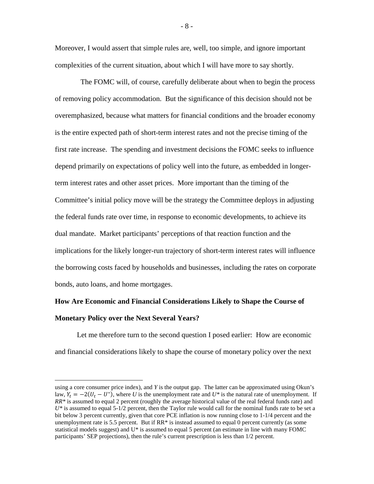Moreover, I would assert that simple rules are, well, too simple, and ignore important complexities of the current situation, about which I will have more to say shortly.

 The FOMC will, of course, carefully deliberate about when to begin the process of removing policy accommodation. But the significance of this decision should not be overemphasized, because what matters for financial conditions and the broader economy is the entire expected path of short-term interest rates and not the precise timing of the first rate increase. The spending and investment decisions the FOMC seeks to influence depend primarily on expectations of policy well into the future, as embedded in longerterm interest rates and other asset prices. More important than the timing of the Committee's initial policy move will be the strategy the Committee deploys in adjusting the federal funds rate over time, in response to economic developments, to achieve its dual mandate. Market participants' perceptions of that reaction function and the implications for the likely longer-run trajectory of short-term interest rates will influence the borrowing costs faced by households and businesses, including the rates on corporate bonds, auto loans, and home mortgages.

## **How Are Economic and Financial Considerations Likely to Shape the Course of Monetary Policy over the Next Several Years?**

Let me therefore turn to the second question I posed earlier: How are economic and financial considerations likely to shape the course of monetary policy over the next

 $\overline{a}$ 

- 8 -

using a core consumer price index), and *Y* is the output gap. The latter can be approximated using Okun's law,  $Y_t = -2(U_t - U^*)$ , where U is the unemployment rate and  $U^*$  is the natural rate of unemployment. If *RR\** is assumed to equal 2 percent (roughly the average historical value of the real federal funds rate) and *U\** is assumed to equal 5-1/2 percent, then the Taylor rule would call for the nominal funds rate to be set a bit below 3 percent currently, given that core PCE inflation is now running close to 1-1/4 percent and the unemployment rate is 5.5 percent. But if  $RR*$  is instead assumed to equal 0 percent currently (as some statistical models suggest) and  $U^*$  is assumed to equal 5 percent (an estimate in line with many FOMC participants' SEP projections), then the rule's current prescription is less than 1/2 percent.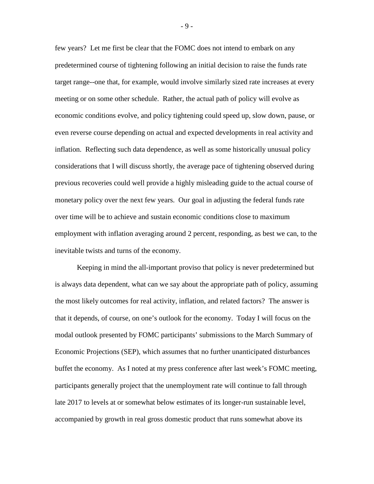few years? Let me first be clear that the FOMC does not intend to embark on any predetermined course of tightening following an initial decision to raise the funds rate target range--one that, for example, would involve similarly sized rate increases at every meeting or on some other schedule. Rather, the actual path of policy will evolve as economic conditions evolve, and policy tightening could speed up, slow down, pause, or even reverse course depending on actual and expected developments in real activity and inflation. Reflecting such data dependence, as well as some historically unusual policy considerations that I will discuss shortly, the average pace of tightening observed during previous recoveries could well provide a highly misleading guide to the actual course of monetary policy over the next few years. Our goal in adjusting the federal funds rate over time will be to achieve and sustain economic conditions close to maximum employment with inflation averaging around 2 percent, responding, as best we can, to the inevitable twists and turns of the economy.

Keeping in mind the all-important proviso that policy is never predetermined but is always data dependent, what can we say about the appropriate path of policy, assuming the most likely outcomes for real activity, inflation, and related factors? The answer is that it depends, of course, on one's outlook for the economy. Today I will focus on the modal outlook presented by FOMC participants' submissions to the March Summary of Economic Projections (SEP), which assumes that no further unanticipated disturbances buffet the economy. As I noted at my press conference after last week's FOMC meeting, participants generally project that the unemployment rate will continue to fall through late 2017 to levels at or somewhat below estimates of its longer-run sustainable level, accompanied by growth in real gross domestic product that runs somewhat above its

- 9 -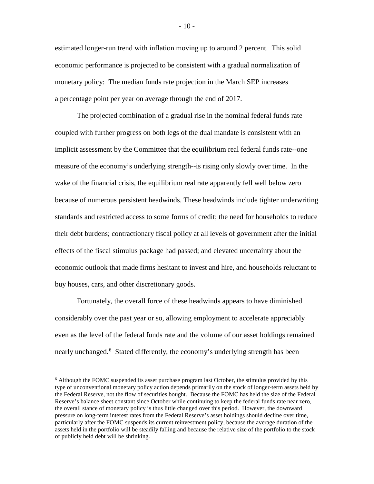estimated longer-run trend with inflation moving up to around 2 percent. This solid economic performance is projected to be consistent with a gradual normalization of monetary policy: The median funds rate projection in the March SEP increases a percentage point per year on average through the end of 2017.

The projected combination of a gradual rise in the nominal federal funds rate coupled with further progress on both legs of the dual mandate is consistent with an implicit assessment by the Committee that the equilibrium real federal funds rate--one measure of the economy's underlying strength--is rising only slowly over time. In the wake of the financial crisis, the equilibrium real rate apparently fell well below zero because of numerous persistent headwinds. These headwinds include tighter underwriting standards and restricted access to some forms of credit; the need for households to reduce their debt burdens; contractionary fiscal policy at all levels of government after the initial effects of the fiscal stimulus package had passed; and elevated uncertainty about the economic outlook that made firms hesitant to invest and hire, and households reluctant to buy houses, cars, and other discretionary goods.

Fortunately, the overall force of these headwinds appears to have diminished considerably over the past year or so, allowing employment to accelerate appreciably even as the level of the federal funds rate and the volume of our asset holdings remained nearly unchanged.<sup>[6](#page-10-0)</sup> Stated differently, the economy's underlying strength has been

<span id="page-10-0"></span><sup>&</sup>lt;sup>6</sup> Although the FOMC suspended its asset purchase program last October, the stimulus provided by this type of unconventional monetary policy action depends primarily on the stock of longer-term assets held by the Federal Reserve, not the flow of securities bought. Because the FOMC has held the size of the Federal Reserve's balance sheet constant since October while continuing to keep the federal funds rate near zero, the overall stance of monetary policy is thus little changed over this period. However, the downward pressure on long-term interest rates from the Federal Reserve's asset holdings should decline over time, particularly after the FOMC suspends its current reinvestment policy, because the average duration of the assets held in the portfolio will be steadily falling and because the relative size of the portfolio to the stock of publicly held debt will be shrinking.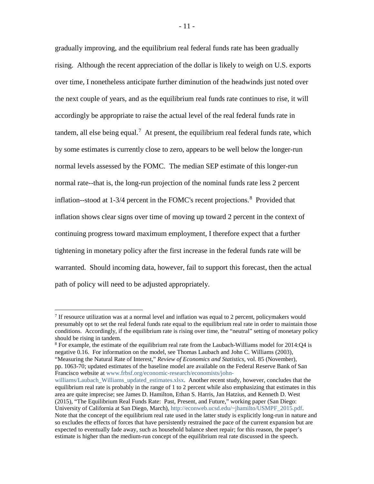gradually improving, and the equilibrium real federal funds rate has been gradually rising. Although the recent appreciation of the dollar is likely to weigh on U.S. exports over time, I nonetheless anticipate further diminution of the headwinds just noted over the next couple of years, and as the equilibrium real funds rate continues to rise, it will accordingly be appropriate to raise the actual level of the real federal funds rate in tandem, all else being equal.<sup>[7](#page-11-0)</sup> At present, the equilibrium real federal funds rate, which by some estimates is currently close to zero, appears to be well below the longer-run normal levels assessed by the FOMC. The median SEP estimate of this longer-run normal rate--that is, the long-run projection of the nominal funds rate less 2 percent inflation--stood at 1-3/4 percent in the FOMC's recent projections.<sup>[8](#page-11-1)</sup> Provided that inflation shows clear signs over time of moving up toward 2 percent in the context of continuing progress toward maximum employment, I therefore expect that a further tightening in monetary policy after the first increase in the federal funds rate will be warranted. Should incoming data, however, fail to support this forecast, then the actual path of policy will need to be adjusted appropriately.

<span id="page-11-0"></span> $<sup>7</sup>$  If resource utilization was at a normal level and inflation was equal to 2 percent, policymakers would</sup> presumably opt to set the real federal funds rate equal to the equilibrium real rate in order to maintain those conditions. Accordingly, if the equilibrium rate is rising over time, the "neutral" setting of monetary policy should be rising in tandem.

<span id="page-11-1"></span><sup>&</sup>lt;sup>8</sup> For example, the estimate of the equilibrium real rate from the Laubach-Williams model for 2014:Q4 is negative 0.16. For information on the model, see Thomas Laubach and John C. Williams (2003), "Measuring the Natural Rate of Interest," *Review of Economics and Statistics,* vol. 85 (November),

pp. 1063-70; updated estimates of the baseline model are available on the Federal Reserve Bank of San Francisco website at [www.frbsf.org/economic-research/economists/john-](http://www.frbsf.org/economic-research/economists/john-williams/Laubach_Williams_updated_estimates.xlsx)

[williams/Laubach\\_Williams\\_updated\\_estimates.xlsx.](http://www.frbsf.org/economic-research/economists/john-williams/Laubach_Williams_updated_estimates.xlsx) Another recent study, however, concludes that the equilibrium real rate is probably in the range of 1 to 2 percent while also emphasizing that estimates in this area are quite imprecise; see James D. Hamilton, Ethan S. Harris, Jan Hatzius, and Kenneth D. West (2015), "The Equilibrium Real Funds Rate: Past, Present, and Future," working paper (San Diego: University of California at San Diego, March)[, http://econweb.ucsd.edu/~jhamilto/USMPF\\_2015.pdf.](http://econweb.ucsd.edu/%7Ejhamilto/USMPF_2015.pdf) Note that the concept of the equilibrium real rate used in the latter study is explicitly long-run in nature and so excludes the effects of forces that have persistently restrained the pace of the current expansion but are expected to eventually fade away, such as household balance sheet repair; for this reason, the paper's estimate is higher than the medium-run concept of the equilibrium real rate discussed in the speech.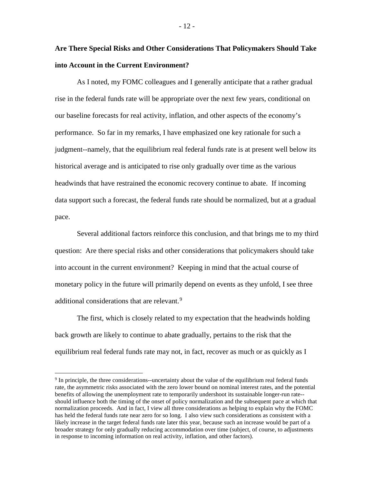**Are There Special Risks and Other Considerations That Policymakers Should Take into Account in the Current Environment?**

As I noted, my FOMC colleagues and I generally anticipate that a rather gradual rise in the federal funds rate will be appropriate over the next few years, conditional on our baseline forecasts for real activity, inflation, and other aspects of the economy's performance. So far in my remarks, I have emphasized one key rationale for such a judgment--namely, that the equilibrium real federal funds rate is at present well below its historical average and is anticipated to rise only gradually over time as the various headwinds that have restrained the economic recovery continue to abate. If incoming data support such a forecast, the federal funds rate should be normalized, but at a gradual pace.

Several additional factors reinforce this conclusion, and that brings me to my third question: Are there special risks and other considerations that policymakers should take into account in the current environment? Keeping in mind that the actual course of monetary policy in the future will primarily depend on events as they unfold, I see three additional considerations that are relevant.<sup>[9](#page-12-0)</sup>

The first, which is closely related to my expectation that the headwinds holding back growth are likely to continue to abate gradually, pertains to the risk that the equilibrium real federal funds rate may not, in fact, recover as much or as quickly as I

<span id="page-12-0"></span><sup>&</sup>lt;sup>9</sup> In principle, the three considerations--uncertainty about the value of the equilibrium real federal funds rate, the asymmetric risks associated with the zero lower bound on nominal interest rates, and the potential benefits of allowing the unemployment rate to temporarily undershoot its sustainable longer-run rate- should influence both the timing of the onset of policy normalization and the subsequent pace at which that normalization proceeds. And in fact, I view all three considerations as helping to explain why the FOMC has held the federal funds rate near zero for so long. I also view such considerations as consistent with a likely increase in the target federal funds rate later this year, because such an increase would be part of a broader strategy for only gradually reducing accommodation over time (subject, of course, to adjustments in response to incoming information on real activity, inflation, and other factors).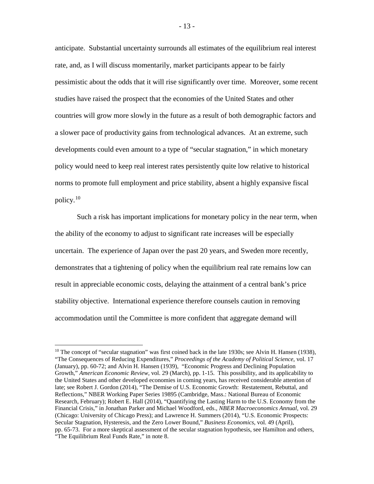anticipate. Substantial uncertainty surrounds all estimates of the equilibrium real interest rate, and, as I will discuss momentarily, market participants appear to be fairly pessimistic about the odds that it will rise significantly over time. Moreover, some recent studies have raised the prospect that the economies of the United States and other countries will grow more slowly in the future as a result of both demographic factors and a slower pace of productivity gains from technological advances. At an extreme, such developments could even amount to a type of "secular stagnation," in which monetary policy would need to keep real interest rates persistently quite low relative to historical norms to promote full employment and price stability, absent a highly expansive fiscal policy.[10](#page-13-0) 

Such a risk has important implications for monetary policy in the near term, when the ability of the economy to adjust to significant rate increases will be especially uncertain. The experience of Japan over the past 20 years, and Sweden more recently, demonstrates that a tightening of policy when the equilibrium real rate remains low can result in appreciable economic costs, delaying the attainment of a central bank's price stability objective. International experience therefore counsels caution in removing accommodation until the Committee is more confident that aggregate demand will

<span id="page-13-0"></span> $10$  The concept of "secular stagnation" was first coined back in the late 1930s; see Alvin H. Hansen (1938), "The Consequences of Reducing Expenditures," *Proceedings of the Academy of Political Science*, vol. 17 (January), pp. 60-72; and Alvin H. Hansen (1939), "Economic Progress and Declining Population Growth," *American Economic Review*, vol. 29 (March), pp. 1-15. This possibility, and its applicability to the United States and other developed economies in coming years, has received considerable attention of late; see Robert J. Gordon (2014), "The Demise of U.S. Economic Growth: Restatement, Rebuttal, and Reflections," NBER Working Paper Series 19895 (Cambridge, Mass.: National Bureau of Economic Research, February); Robert E. Hall (2014), "Quantifying the Lasting Harm to the U.S. Economy from the Financial Crisis," in Jonathan Parker and Michael Woodford, eds., *NBER Macroeconomics Annual,* vol. 29 (Chicago: University of Chicago Press); and Lawrence H. Summers (2014), "U.S. Economic Prospects: Secular Stagnation, Hysteresis, and the Zero Lower Bound," *Business Economics*, vol. 49 (April), pp. 65-73. For a more skeptical assessment of the secular stagnation hypothesis, see Hamilton and others, "The Equilibrium Real Funds Rate," in note 8.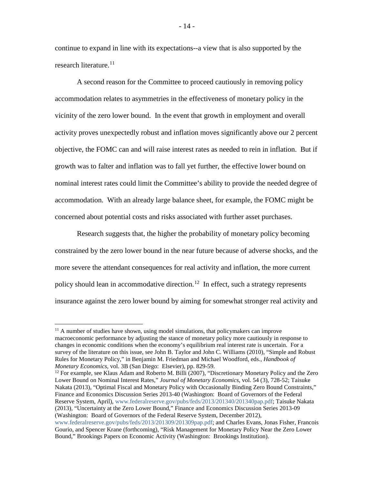continue to expand in line with its expectations--a view that is also supported by the research literature.<sup>[11](#page-14-0)</sup>

A second reason for the Committee to proceed cautiously in removing policy accommodation relates to asymmetries in the effectiveness of monetary policy in the vicinity of the zero lower bound. In the event that growth in employment and overall activity proves unexpectedly robust and inflation moves significantly above our 2 percent objective, the FOMC can and will raise interest rates as needed to rein in inflation. But if growth was to falter and inflation was to fall yet further, the effective lower bound on nominal interest rates could limit the Committee's ability to provide the needed degree of accommodation. With an already large balance sheet, for example, the FOMC might be concerned about potential costs and risks associated with further asset purchases.

Research suggests that, the higher the probability of monetary policy becoming constrained by the zero lower bound in the near future because of adverse shocks, and the more severe the attendant consequences for real activity and inflation, the more current policy should lean in accommodative direction.<sup>12</sup> In effect, such a strategy represents insurance against the zero lower bound by aiming for somewhat stronger real activity and

<span id="page-14-0"></span><sup>&</sup>lt;sup>11</sup> A number of studies have shown, using model simulations, that policymakers can improve macroeconomic performance by adjusting the stance of monetary policy more cautiously in response to changes in economic conditions when the economy's equilibrium real interest rate is uncertain. For a survey of the literature on this issue, see John B. Taylor and John C. Williams (2010), "Simple and Robust Rules for Monetary Policy," in Benjamin M. Friedman and Michael Woodford, eds., *Handbook of Monetary Economics,* vol. 3B (San Diego: Elsevier), pp. 829-59.

<span id="page-14-1"></span><sup>&</sup>lt;sup>12</sup> For example, see Klaus Adam and Roberto M. Billi (2007), "Discretionary Monetary Policy and the Zero Lower Bound on Nominal Interest Rates," *Journal of Monetary Economics*, vol. 54 (3), 728-52; Taisuke Nakata (2013), "Optimal Fiscal and Monetary Policy with Occasionally Binding Zero Bound Constraints," Finance and Economics Discussion Series 2013-40 (Washington: Board of Governors of the Federal Reserve System, April)[, www.federalreserve.gov/pubs/feds/2013/201340/201340pap.pdf;](http://www.federalreserve.gov/pubs/feds/2013/201340/201340pap.pdf) Taisuke Nakata (2013), "Uncertainty at the Zero Lower Bound," Finance and Economics Discussion Series 2013-09 (Washington: Board of Governors of the Federal Reserve System, December 2012), [www.federalreserve.gov/pubs/feds/2013/201309/201309pap.pdf;](http://www.federalreserve.gov/pubs/feds/2013/201309/201309pap.pdf) and Charles Evans, Jonas Fisher, Francois Gourio, and Spencer Krane (forthcoming), "Risk Management for Monetary Policy Near the Zero Lower Bound," Brookings Papers on Economic Activity (Washington: Brookings Institution).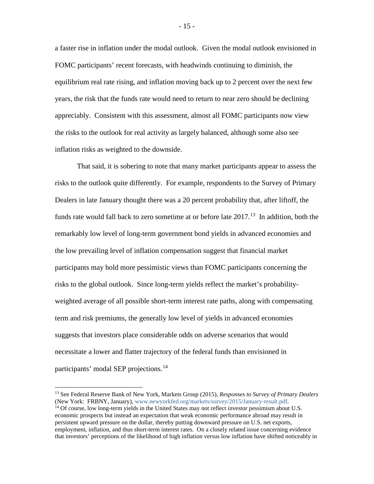a faster rise in inflation under the modal outlook. Given the modal outlook envisioned in FOMC participants' recent forecasts, with headwinds continuing to diminish, the equilibrium real rate rising, and inflation moving back up to 2 percent over the next few years, the risk that the funds rate would need to return to near zero should be declining appreciably. Consistent with this assessment, almost all FOMC participants now view the risks to the outlook for real activity as largely balanced, although some also see inflation risks as weighted to the downside.

That said, it is sobering to note that many market participants appear to assess the risks to the outlook quite differently. For example, respondents to the Survey of Primary Dealers in late January thought there was a 20 percent probability that, after liftoff, the funds rate would fall back to zero sometime at or before late  $2017$ <sup>[13](#page-15-0)</sup> In addition, both the remarkably low level of long-term government bond yields in advanced economies and the low prevailing level of inflation compensation suggest that financial market participants may hold more pessimistic views than FOMC participants concerning the risks to the global outlook. Since long-term yields reflect the market's probabilityweighted average of all possible short-term interest rate paths, along with compensating term and risk premiums, the generally low level of yields in advanced economies suggests that investors place considerable odds on adverse scenarios that would necessitate a lower and flatter trajectory of the federal funds than envisioned in participants' modal SEP projections.<sup>[14](#page-15-1)</sup>

<span id="page-15-1"></span><span id="page-15-0"></span><sup>13</sup> See Federal Reserve Bank of New York, Markets Group (2015), *Responses to Survey of Primary Dealers* (New York: FRBNY, January), [www.newyorkfed.org/markets/survey/2015/January-result.pdf.](http://www.newyorkfed.org/markets/survey/2015/January-result.pdf)  $14$  Of course, low long-term yields in the United States may not reflect investor pessimism about U.S. economic prospects but instead an expectation that weak economic performance abroad may result in persistent upward pressure on the dollar, thereby putting downward pressure on U.S. net exports, employment, inflation, and thus short-term interest rates. On a closely related issue concerning evidence that investors' perceptions of the likelihood of high inflation versus low inflation have shifted noticeably in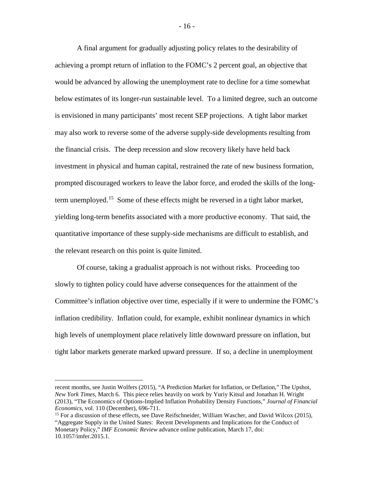A final argument for gradually adjusting policy relates to the desirability of achieving a prompt return of inflation to the FOMC's 2 percent goal, an objective that would be advanced by allowing the unemployment rate to decline for a time somewhat below estimates of its longer-run sustainable level. To a limited degree, such an outcome is envisioned in many participants' most recent SEP projections. A tight labor market may also work to reverse some of the adverse supply-side developments resulting from the financial crisis. The deep recession and slow recovery likely have held back investment in physical and human capital, restrained the rate of new business formation, prompted discouraged workers to leave the labor force, and eroded the skills of the long-term unemployed.<sup>[15](#page-16-0)</sup> Some of these effects might be reversed in a tight labor market, yielding long-term benefits associated with a more productive economy. That said, the quantitative importance of these supply-side mechanisms are difficult to establish, and the relevant research on this point is quite limited.

Of course, taking a gradualist approach is not without risks. Proceeding too slowly to tighten policy could have adverse consequences for the attainment of the Committee's inflation objective over time, especially if it were to undermine the FOMC's inflation credibility. Inflation could, for example, exhibit nonlinear dynamics in which high levels of unemployment place relatively little downward pressure on inflation, but tight labor markets generate marked upward pressure. If so, a decline in unemployment

 $\overline{a}$ 

- 16 -

recent months, see Justin Wolfers (2015), "A Prediction Market for Inflation, or Deflation," The Upshot, *New York Times,* March 6. This piece relies heavily on work by Yuriy Kitsul and Jonathan H. Wright (2013), "The Economics of Options-Implied Inflation Probability Density Functions," *Journal of Financial Economics*, vol. 110 (December), 696-711.

<span id="page-16-0"></span><sup>&</sup>lt;sup>15</sup> For a discussion of these effects, see Dave Reifschneider, William Wascher, and David Wilcox (2015), "Aggregate Supply in the United States: Recent Developments and Implications for the Conduct of Monetary Policy," *IMF Economic Review* advance online publication, March 17, doi: 10.1057/imfer.2015.1.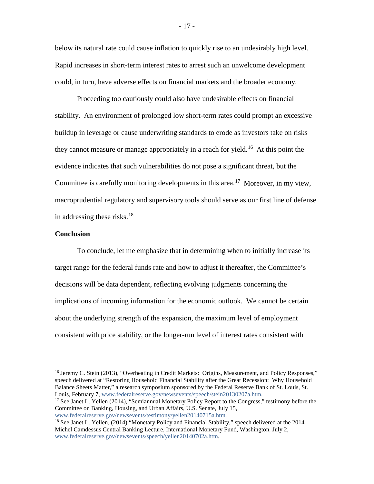below its natural rate could cause inflation to quickly rise to an undesirably high level. Rapid increases in short-term interest rates to arrest such an unwelcome development could, in turn, have adverse effects on financial markets and the broader economy.

Proceeding too cautiously could also have undesirable effects on financial stability. An environment of prolonged low short-term rates could prompt an excessive buildup in leverage or cause underwriting standards to erode as investors take on risks they cannot measure or manage appropriately in a reach for yield.<sup>[16](#page-17-0)</sup> At this point the evidence indicates that such vulnerabilities do not pose a significant threat, but the Committee is carefully monitoring developments in this area.<sup>[17](#page-17-1)</sup> Moreover, in my view, macroprudential regulatory and supervisory tools should serve as our first line of defense in addressing these risks.<sup>[18](#page-17-2)</sup>

## **Conclusion**

 $\overline{a}$ 

To conclude, let me emphasize that in determining when to initially increase its target range for the federal funds rate and how to adjust it thereafter, the Committee's decisions will be data dependent, reflecting evolving judgments concerning the implications of incoming information for the economic outlook. We cannot be certain about the underlying strength of the expansion, the maximum level of employment consistent with price stability, or the longer-run level of interest rates consistent with

- 17 -

<span id="page-17-0"></span><sup>&</sup>lt;sup>16</sup> Jeremy C. Stein (2013), "Overheating in Credit Markets: Origins, Measurement, and Policy Responses," speech delivered at "Restoring Household Financial Stability after the Great Recession: Why Household Balance Sheets Matter," a research symposium sponsored by the Federal Reserve Bank of St. Louis, St. Louis, February 7, [www.federalreserve.gov/newsevents/speech/stein20130207a.htm.](http://www.federalreserve.gov/newsevents/speech/stein20130207a.htm)

<span id="page-17-1"></span><sup>&</sup>lt;sup>17</sup> See Janet L. Yellen (2014), "Semiannual Monetary Policy Report to the Congress," testimony before the Committee on Banking, Housing, and Urban Affairs, U.S. Senate, July 15, [www.federalreserve.gov/newsevents/testimony/yellen20140715a.htm.](http://www.federalreserve.gov/newsevents/testimony/yellen20140715a.htm)

<span id="page-17-2"></span><sup>&</sup>lt;sup>18</sup> See Janet L. Yellen, (2014) "Monetary Policy and Financial Stability," speech delivered at the 2014 Michel Camdessus Central Banking Lecture, International Monetary Fund, Washington, July 2, [www.federalreserve.gov/newsevents/speech/yellen20140702a.htm.](http://www.federalreserve.gov/newsevents/speech/yellen20140702a.htm)